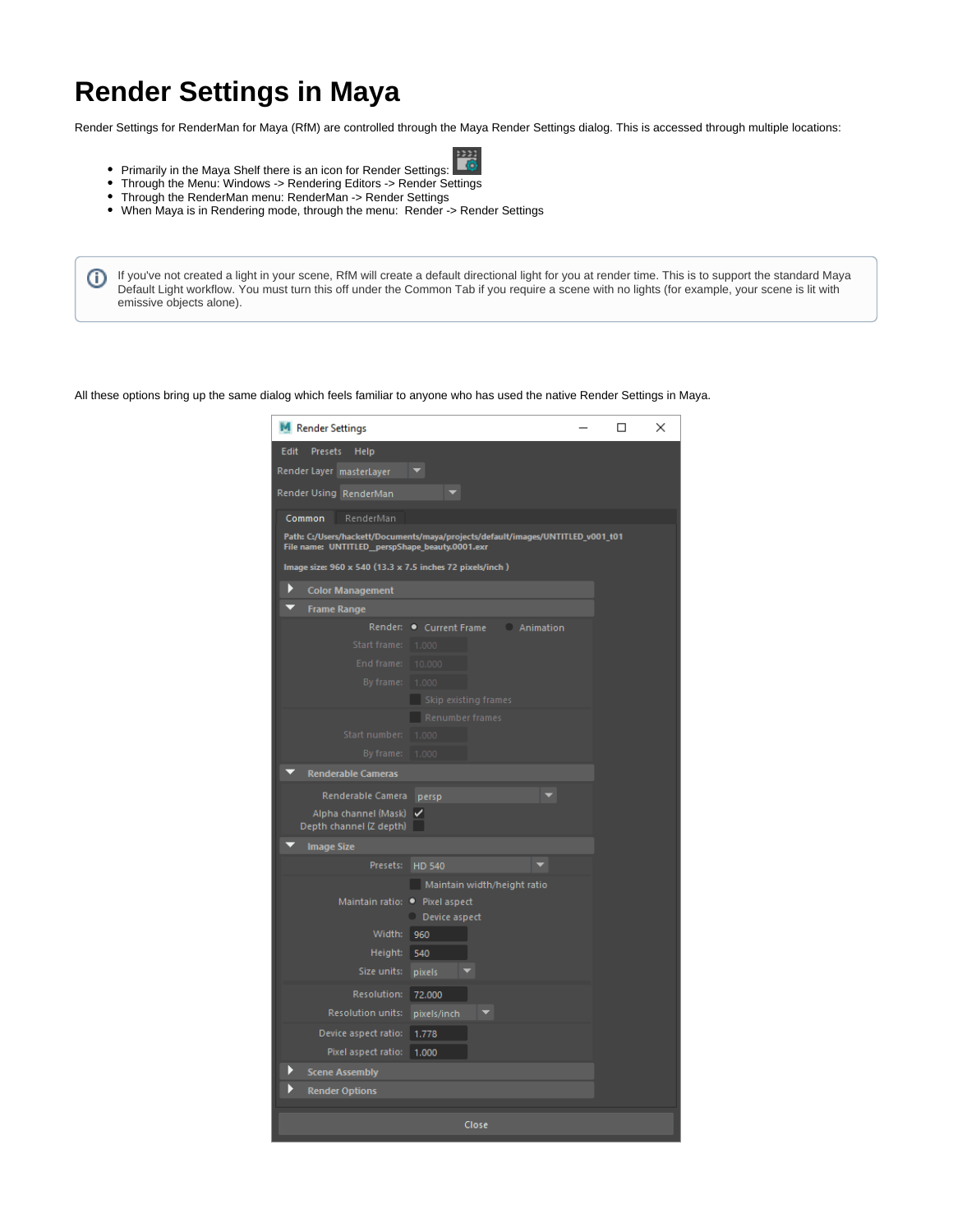## **Render Settings in Maya**

O

Render Settings for RenderMan for Maya (RfM) are controlled through the Maya Render Settings dialog. This is accessed through multiple locations:

- Ïó
- Primarily in the Maya Shelf there is an icon for Render Settings: Through the Menu: Windows -> Rendering Editors -> Render Settings
- Through the RenderMan menu: RenderMan -> Render Settings
- When Maya is in Rendering mode, through the menu: Render -> Render Settings

If you've not created a light in your scene, RfM will create a default directional light for you at render time. This is to support the standard Maya Default Light workflow. You must turn this off under the Common Tab if you require a scene with no lights (for example, your scene is lit with emissive objects alone).

All these options bring up the same dialog which feels familiar to anyone who has used the native Render Settings in Maya.

| M Render Settings                                                                                                                 | □<br>×             |
|-----------------------------------------------------------------------------------------------------------------------------------|--------------------|
| Edit<br>Presets<br>Help                                                                                                           |                    |
| Render Layer masterLayer                                                                                                          |                    |
| Render Using RenderMan                                                                                                            |                    |
| Common<br>RenderMan                                                                                                               |                    |
| Path: C:/Users/hackett/Documents/maya/projects/default/images/UNTITLED_v001_t01<br>File name: UNTITLED_perspShape_beauty.0001.exr |                    |
| Image size: 960 x 540 (13.3 x 7.5 inches 72 pixels/inch)                                                                          |                    |
| Þ<br><b>Color Management</b>                                                                                                      |                    |
| <b>Frame Range</b>                                                                                                                |                    |
| Render: Current Frame                                                                                                             | <b>C</b> Animation |
| Start frame:<br>1.000                                                                                                             |                    |
| End frame:<br>10.000                                                                                                              |                    |
| By frame:<br>1.000                                                                                                                |                    |
| Skip existing frames                                                                                                              |                    |
| Renumber frames                                                                                                                   |                    |
| Start number:<br>1.000                                                                                                            |                    |
| By frame:<br>1.000                                                                                                                |                    |
| <b>Renderable Cameras</b>                                                                                                         |                    |
| Renderable Camera<br>persp                                                                                                        |                    |
| Alpha channel (Mask)<br>✓<br>Depth channel (Z depth)                                                                              |                    |
| <b>Image Size</b>                                                                                                                 |                    |
| Presets:<br>HD 540                                                                                                                |                    |
| Maintain width/height ratio                                                                                                       |                    |
| Maintain ratio:<br>• Pixel aspect                                                                                                 |                    |
| Device aspect                                                                                                                     |                    |
| Width:<br>960                                                                                                                     |                    |
| Height:<br>540                                                                                                                    |                    |
| Size units:<br>pixels                                                                                                             |                    |
| Resolution:<br>72,000                                                                                                             |                    |
| <b>Resolution units:</b><br>pixels/inch                                                                                           |                    |
| Device aspect ratio:<br>1.778                                                                                                     |                    |
| Pixel aspect ratio:<br>1.000                                                                                                      |                    |
| <b>Scene Assembly</b>                                                                                                             |                    |
| <b>Render Options</b>                                                                                                             |                    |
| Close                                                                                                                             |                    |